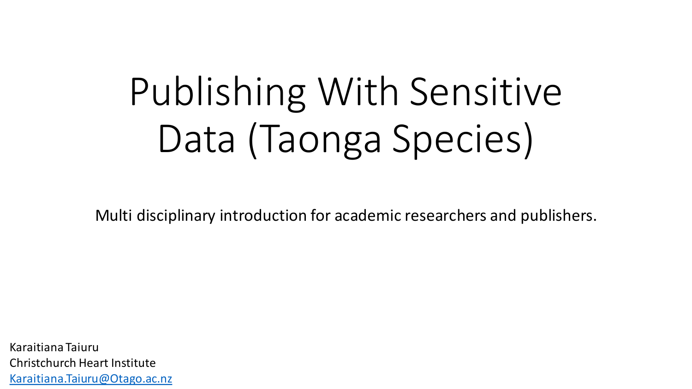# Publishing With Sensitive Data (Taonga Species)

Multi disciplinary introduction for academic researchers and publishers.

Karaitiana Taiuru Christchurch Heart Institute [Karaitiana.Taiuru@Otago.ac.nz](mailto:Karaitiana.Taiuru@Otago.ac.nz)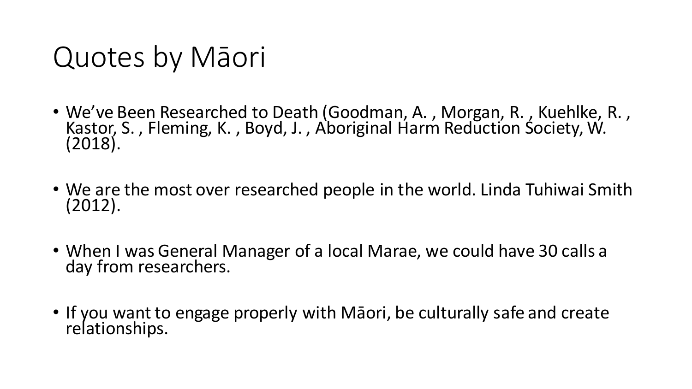## Quotes by Māori

- We've Been Researched to Death (Goodman, A., Morgan, R., Kuehlke, R., Kastor, S., Fleming, K., Boyd, J., Aboriginal Harm Reduction Society, W. (2018).
- We are the most over researched people in the world. Linda Tuhiwai Smith (2012).
- When I was General Manager of a local Marae, we could have 30 calls a day from researchers.
- If you want to engage properly with Māori, be culturally safe and create relationships.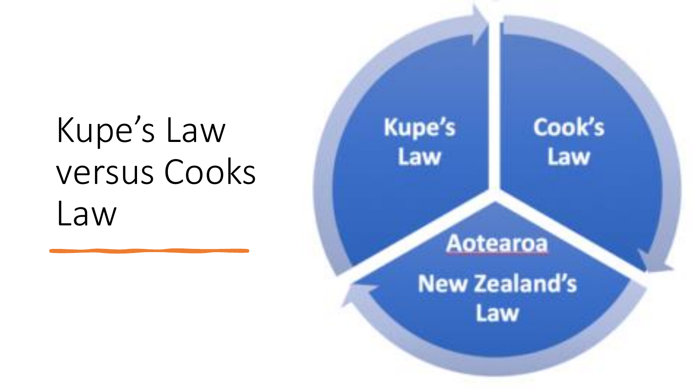# Kupe's Law versus Cooks Law

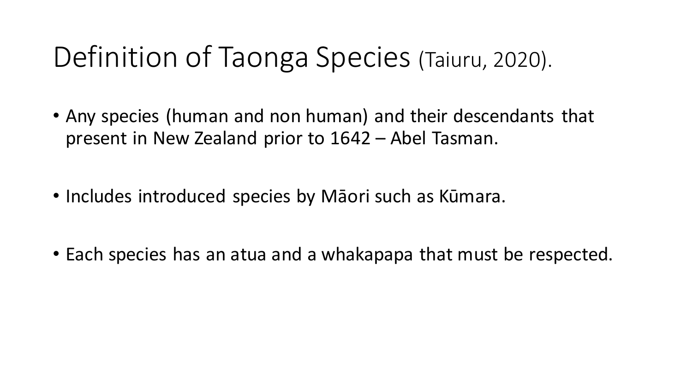## Definition of Taonga Species (Taiuru, 2020).

- Any species (human and non human) and their descendants that present in New Zealand prior to 1642 – Abel Tasman.
- Includes introduced species by Māori such as Kūmara.
- Each species has an atua and a whakapapa that must be respected.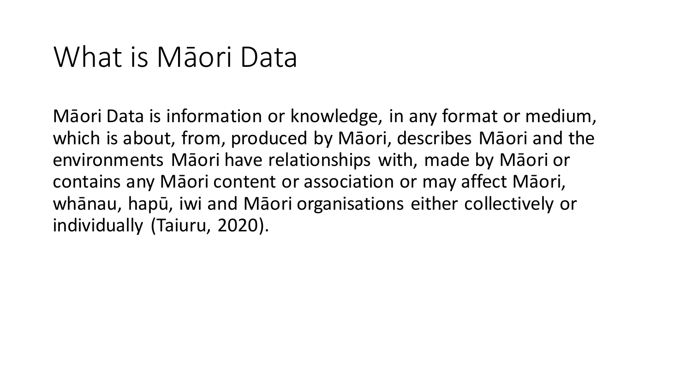### What is Māori Data

Māori Data is information or knowledge, in any format or medium, which is about, from, produced by Māori, describes Māori and the environments Māori have relationships with, made by Māori or contains any Māori content or association or may affect Māori, whānau, hapū, iwi and Māori organisations either collectively or individually (Taiuru, 2020).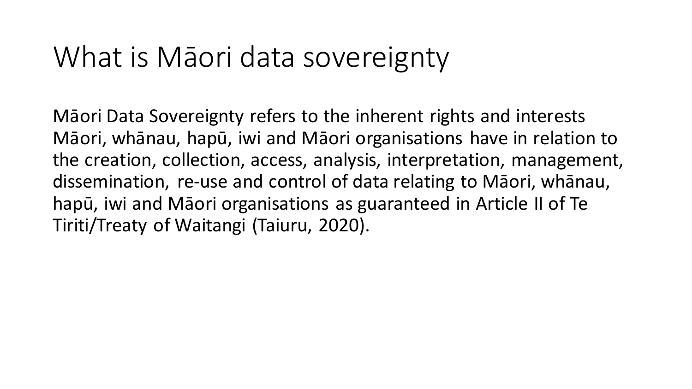### What is Māori data sovereignty

Māori Data Sovereignty refers to the inherent rights and interests Māori, whānau, hapū, iwi and Māori organisations have in relation to the creation, collection, access, analysis, interpretation, management, dissemination, re-use and control of data relating to Māori, whānau, hapū, iwi and Māori organisations as guaranteed in Article II of Te Tiriti/Treaty of Waitangi (Taiuru, 2020).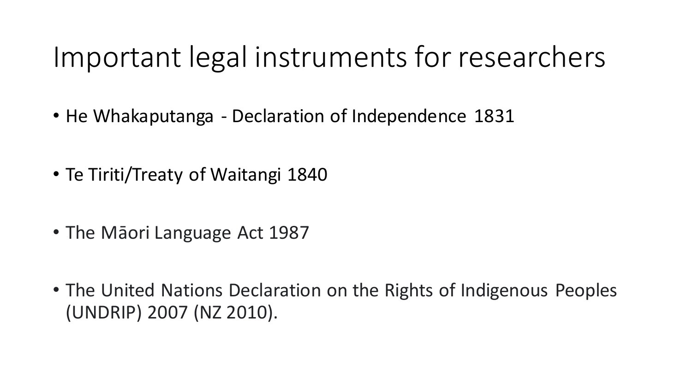### Important legal instruments for researchers

- He Whakaputanga Declaration of Independence 1831
- Te Tiriti/Treaty of Waitangi 1840
- The Māori Language Act 1987
- The United Nations Declaration on the Rights of Indigenous Peoples (UNDRIP) 2007 (NZ 2010).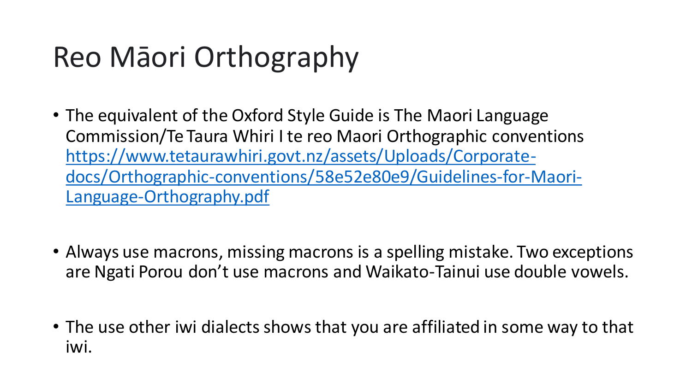# Reo Māori Orthography

- The equivalent of the Oxford Style Guide is The Maori Language Commission/Te Taura Whiri I te reo Maori Orthographic conventions https://www.tetaurawhiri.govt.nz/assets/Uploads/Corporate[docs/Orthographic-conventions/58e52e80e9/Guidelines-for-Maori-](https://www.tetaurawhiri.govt.nz/assets/Uploads/Corporate-docs/Orthographic-conventions/58e52e80e9/Guidelines-for-Maori-Language-Orthography.pdf)Language-Orthography.pdf
- Always use macrons, missing macrons is a spelling mistake. Two exceptions are Ngati Porou don't use macrons and Waikato-Tainui use double vowels.
- The use other iwi dialects shows that you are affiliated in some way to that iwi.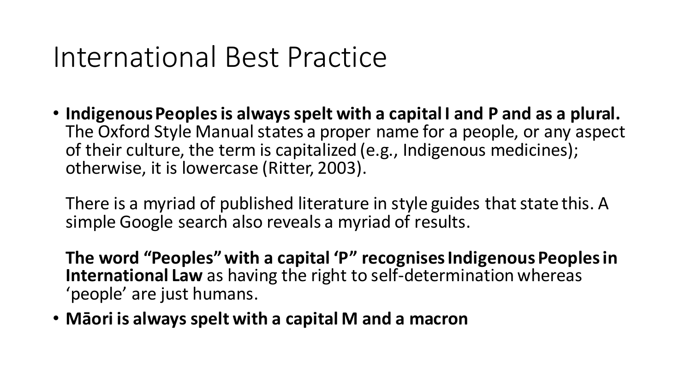### International Best Practice

• **Indigenous Peoples is always spelt with a capital I and P and as a plural.** The Oxford Style Manual states a proper name for a people, or any aspect of their culture, the term is capitalized (e.g., Indigenous medicines); otherwise, it is lowercase (Ritter, 2003).

There is a myriad of published literature in style guides that state this. A simple Google search also reveals a myriad of results.

**The word "Peoples" with a capital 'P" recognisesIndigenous Peoples in International Law** as having the right to self-determination whereas 'people' are just humans.

• **Māori is always spelt with a capital M and a macron**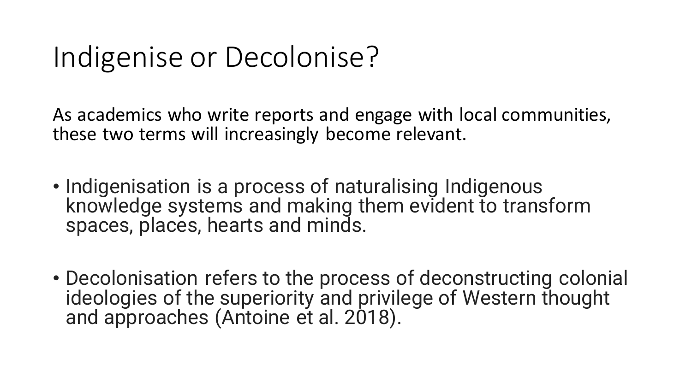### Indigenise or Decolonise?

As academics who write reports and engage with local communities, these two terms will increasingly become relevant.

- Indigenisation is a process of naturalising Indigenous knowledge systems and making them evident to transform spaces, places, hearts and minds.
- Decolonisation refers to the process of deconstructing colonial ideologies of the superiority and privilege of Western thought and approaches (Antoine et al. 2018).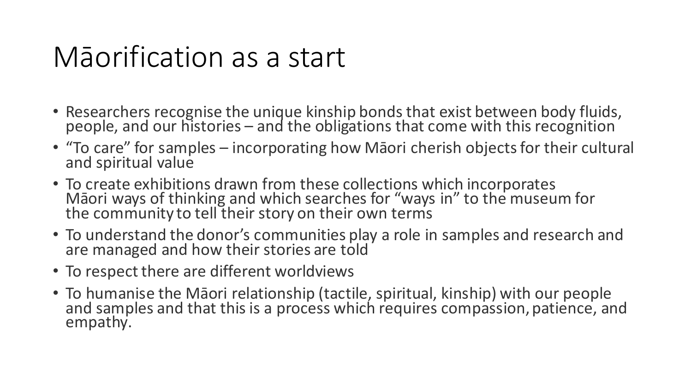### Māorification as a start

- Researchers recognise the unique kinship bonds that exist between body fluids, people, and our histories – and the obligations that come with this recognition
- "To care" for samples incorporating how Māori cherish objects for their cultural and spiritual value
- To create exhibitions drawn from these collections which incorporates Māori ways of thinking and which searches for "ways in" to the museum for the community to tell their story on their own terms
- To understand the donor's communities play a role in samples and research and are managed and how their stories are told
- To respect there are different worldviews
- To humanise the Māori relationship (tactile, spiritual, kinship) with our people and samples and that this is a process which requires compassion, patience, and empathy.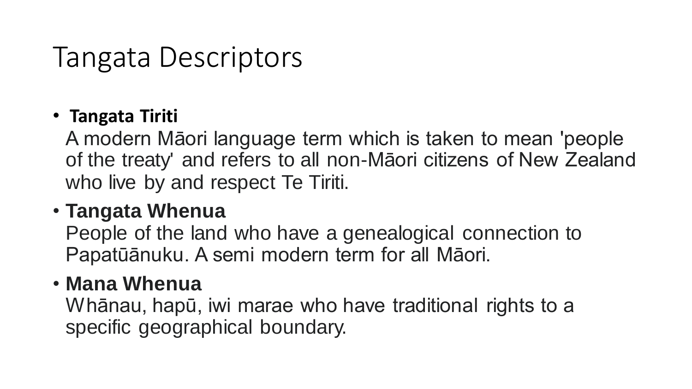### Tangata Descriptors

#### • **Tangata Tiriti**

A modern Māori language term which is taken to mean 'people of the treaty' and refers to all non-Māori citizens of New Zealand who live by and respect Te Tiriti.

#### • **Tangata Whenua**

People of the land who have a genealogical connection to Papatūānuku. A semi modern term for all Māori.

#### • **Mana Whenua**

Whānau, hapū, iwi marae who have traditional rights to a specific geographical boundary.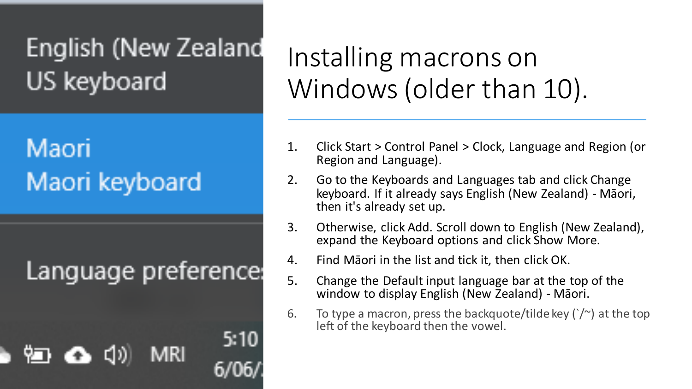### English (New Zealand US keyboard

### Maori Maori keyboard

Language preference:

MRI

5:10

### Installing macrons on Windows (older than 10).

- 1. Click Start > Control Panel > Clock, Language and Region (or Region and Language).
- 2. Go to the Keyboards and Languages tab and click Change keyboard. If it already says English (New Zealand) - Māori, then it's already set up.
- 3. Otherwise, click Add. Scroll down to English (New Zealand), expand the Keyboard options and click Show More.
- 4. Find Māori in the list and tick it, then click OK.
- 5. Change the Default input language bar at the top of the window to display English (New Zealand) - Māori.
- 6. To type a macron, press the backquote/tilde key  $(\gamma^2)$  at the top left of the keyboard then the vowel.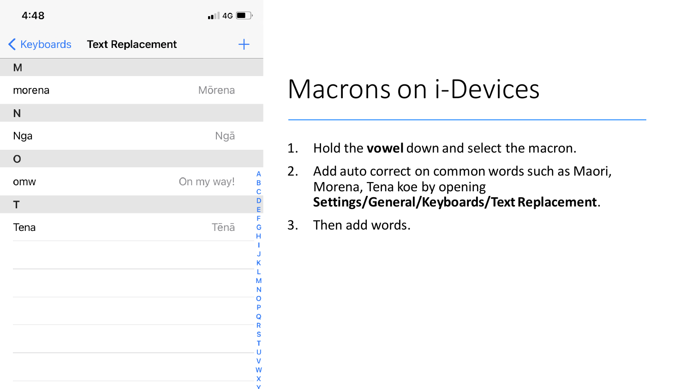

|             | <b>Keyboards</b> Text Replacement |                  |
|-------------|-----------------------------------|------------------|
| M           |                                   |                  |
| morena      | Mōrena                            |                  |
| N           |                                   |                  |
| Nga         | Ngā                               |                  |
| $\mathsf O$ |                                   |                  |
| omw         | On my way!                        | Α<br>B<br>C      |
| T           |                                   | D<br>E           |
| Tena        | Tēnā                              | F<br>G<br>н      |
|             |                                   | ı<br>J<br>K      |
|             |                                   | L<br>M           |
|             |                                   | N<br>О<br>P      |
|             |                                   | Q<br>R           |
|             |                                   | S<br>T<br>Ù      |
|             |                                   | V<br>W           |
|             |                                   | X<br>$\mathbf v$ |

### Macrons on i-Devices

- 1. Hold the **vowel** down and select the macron.
- 2. Add auto correct on common words such as Maori, Morena, Tena koe by opening **Settings/General/Keyboards/Text Replacement**.
- 3. Then add words.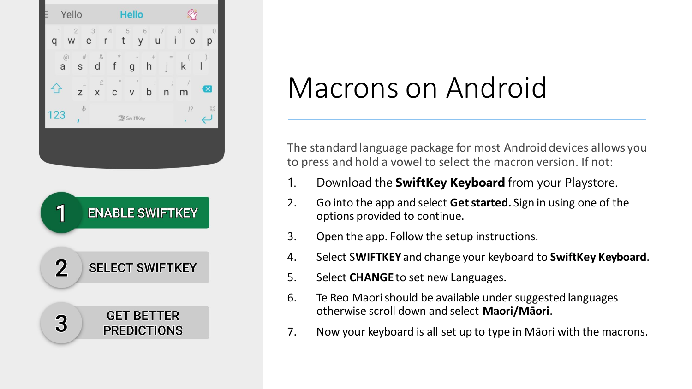

# Macrons on Android

The standard language package for most Android devices allows you to press and hold a vowel to select the macron version. If not:

- 1. Download the **SwiftKey Keyboard** from your Playstore.
- 2. Go into the app and select **Get started.** Sign in using one of the options provided to continue.
- 3. Open the app. Follow the setup instructions.
- 4. Select S**WIFTKEY** and change your keyboard to **SwiftKey Keyboard**.
- 5. Select **CHANGE** to set new Languages.
- 6. Te Reo Maori should be available under suggested languages otherwise scroll down and select **Maori/Māori**.
- 7. Now your keyboard is all set up to type in Māori with the macrons.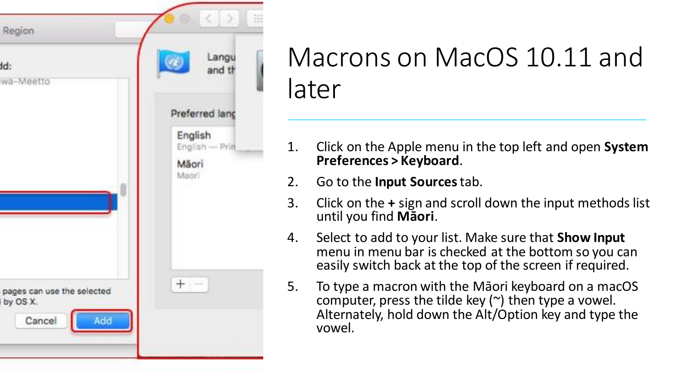

### Macrons on MacOS 10.11 and later

- 1. Click on the Apple menu in the top left and open **System Preferences > Keyboard**.
- 2. Go to the **Input Sources** tab.
- 3. Click on the **+** sign and scroll down the input methods list until you find **Māori**.
- 4. Select to add to your list. Make sure that **Show Input**  menu in menu bar is checked at the bottom so you can easily switch back at the top of the screen if required.
- 5. To type a macron with the Māori keyboard on a macOS computer, press the tilde key  $(\sim)$  then type a vowel. Alternately, hold down the Alt/Option key and type the vowel.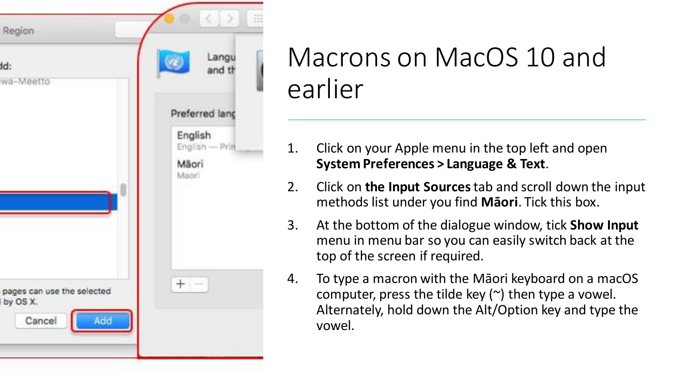

### Macrons on MacOS 10 and earlier

- 1. Click on your Apple menu in the top left and open **System Preferences > Language & Text**.
- 2. Click on **the Input Sources** tab and scroll down the input methods list under you find **Māori**. Tick this box.
- 3. At the bottom of the dialogue window, tick **Show Input**  menu in menu bar so you can easily switch back at the top of the screen if required.
- 4. To type a macron with the Māori keyboard on a macOS computer, press the tilde key  $(\sim)$  then type a vowel. Alternately, hold down the Alt/Option key and type the vowel.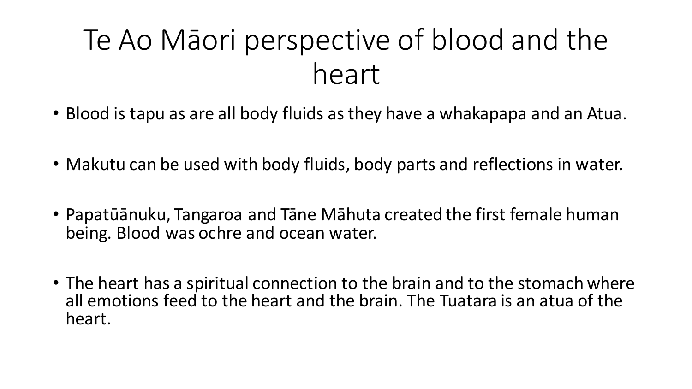## Te Ao Māori perspective of blood and the heart

- Blood is tapu as are all body fluids as they have a whakapapa and an Atua.
- Makutu can be used with body fluids, body parts and reflections in water.
- Papatūānuku, Tangaroa and Tāne Māhuta created the first female human being. Blood was ochre and ocean water.
- The heart has a spiritual connection to the brain and to the stomach where all emotions feed to the heart and the brain. The Tuatara is an atua of the heart.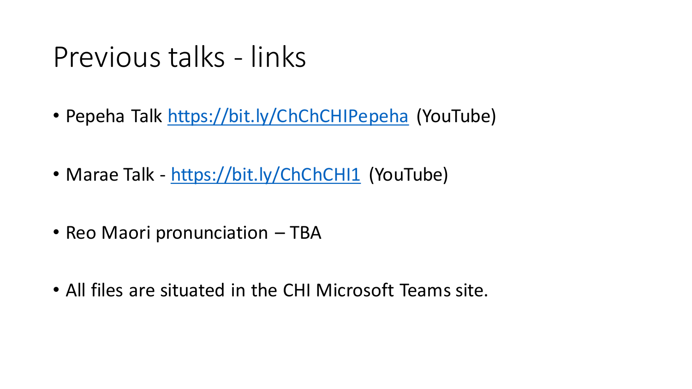### Previous talks - links

- Pepeha Talk <https://bit.ly/ChChCHIPepeha> (YouTube)
- Marae Talk <https://bit.ly/ChChCHI1> (YouTube)
- Reo Maori pronunciation TBA
- All files are situated in the CHI Microsoft Teams site.